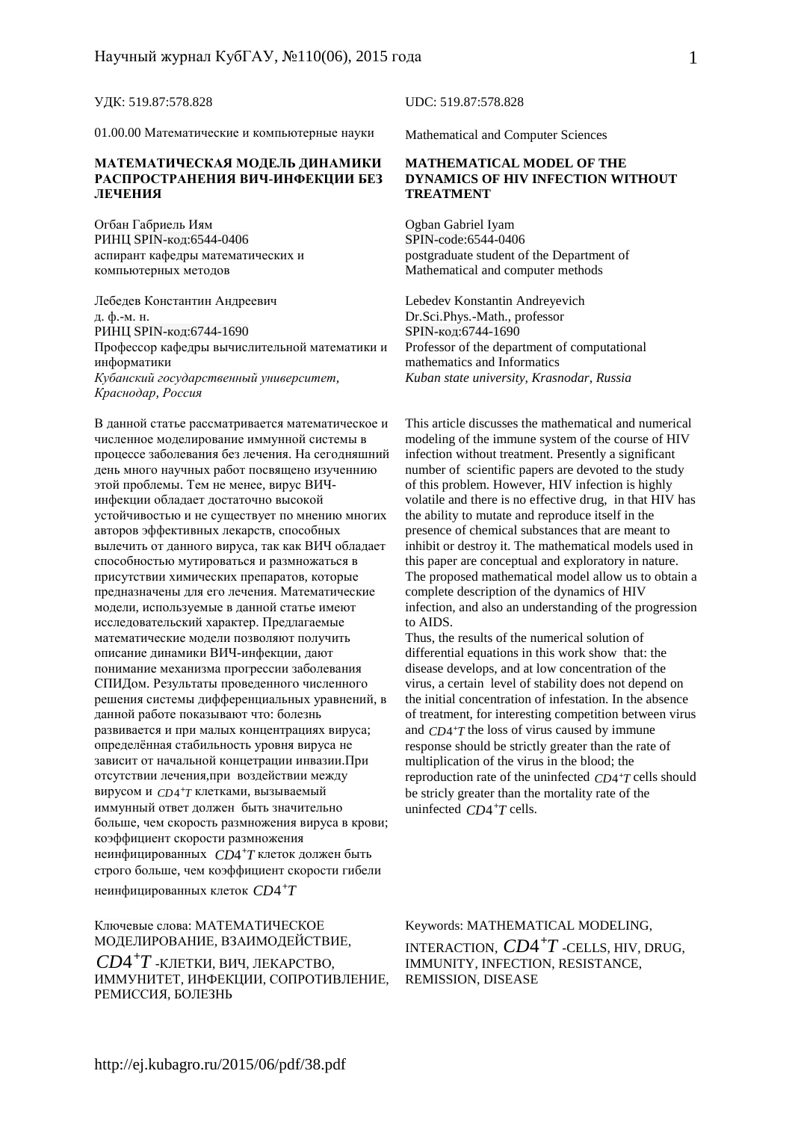01.00.00 Математические и компьютерные науки

#### **МАТЕМАТИЧЕСКАЯ МОДЕЛЬ ДИНАМИКИ РАСПРОСТРАНЕНИЯ ВИЧ-ИНФЕКЦИИ БЕЗ ЛЕЧЕНИЯ**

Огбан Габриель Иям РИНЦ SPIN-код:6544-0406 аспирант кафедры математических и компьютерных методов

Лебедев Константин Андреевич Lebedev Konstantin Andreyevich д. ф.-м. н. РИНЦ SPIN-код:6744-1690 Профессор кафедры вычислительной математики и информатики *Кубанский государственный университет, Краснодар, Россия*

В данной статье рассматривается математическое и численное моделирование иммунной системы в процессе заболевания без лечения. На сегодняшний день много научных работ посвящено изученнию этой проблемы. Тем не менее, вирус ВИЧинфекции обладает достаточно высокой устойчивостью и не существует по мнению многих авторов эффективных лекарств, способных вылечить от данного вируса, так как ВИЧ обладает способностью мутироваться и размножаться в присутствии химических препаратов, которые предназначены для его лечения. Математические модели, используемые в данной статье имеют исследовательский характер. Предлагаемые математические модели позволяют получить описание динамики ВИЧ-инфекции, дают понимание механизма прогрессии заболевания СПИДом. Результаты проведенного численного решения системы дифференциальных уравнений, в данной работе показывают что: болезнь развивается и при малых концентрациях вируса; определённая стабильность уровня вируса не зависит от начальной концетрации инвазии.При отсутствии лечения,при воздействии между вирусом и *CD*<sup>4+</sup>T клетками, вызываемый иммунный ответ должен быть значительно больше, чем скорость размножения вируса в крови; коэффициент скорости размножения неинфицированных  $\mathit{CD4^+T}$ клеток должен быть строго больше, чем коэффициент скорости гибели неинфицированных клеток  $CD4^+T$ 

#### Ключевые слова: МАТЕМАТИЧЕСКОЕ МОДЕЛИРОВАНИЕ, ВЗАИМОДЕЙСТВИЕ,

 $CD4+T$  -КЛЕТКИ, ВИЧ, ЛЕКАРСТВО, ИММУНИТЕТ, ИНФЕКЦИИ, СОПРОТИВЛЕНИЕ, РЕМИССИЯ, БОЛЕЗНЬ

УДК: 519.87:578.828 UDC: 519.87:578.828

Mathematical and Computer Sciences

#### **MATHEMATICAL MODEL OF THE DYNAMICS OF HIV INFECTION WITHOUT TREATMENT**

Ogban Gabriel Iyam SPIN-code:6544-0406 postgraduate student of the Department of Mathematical and computer methods

Dr.Sci.Phys.-Math., professor SPIN-код:6744-1690 Professor of the department of computational mathematics and Informatics *Kuban state university, Krasnodar, Russia* 

This article discusses the mathematical and numerical modeling of the immune system of the course of HIV infection without treatment. Presently a significant number of scientific papers are devoted to the study of this problem. However, HIV infection is highly volatile and there is no effective drug, in that HIV has the ability to mutate and reproduce itself in the presence of chemical substances that are meant to inhibit or destroy it. The mathematical models used in this paper are conceptual and exploratory in nature. The proposed mathematical model allow us to obtain a complete description of the dynamics of HIV infection, and also an understanding of the progression to AIDS.

Thus, the results of the numerical solution of differential equations in this work show that: the disease develops, and at low concentration of the virus, a certain level of stability does not depend on the initial concentration of infestation. In the absence of treatment, for interesting competition between virus and *CD*<sup>4+</sup>*T* the loss of virus caused by immune response should be strictly greater than the rate of multiplication of the virus in the blood; the reproduction rate of the uninfected  $CD4+T$  cells should be stricly greater than the mortality rate of the uninfected  $CD4+T$  cells.

Keywords: MATHEMATICAL MODELING, INTERACTION,  $CD4^+T$  -CELLS, HIV, DRUG, IMMUNITY, INFECTION, RESISTANCE, REMISSION, DISEASE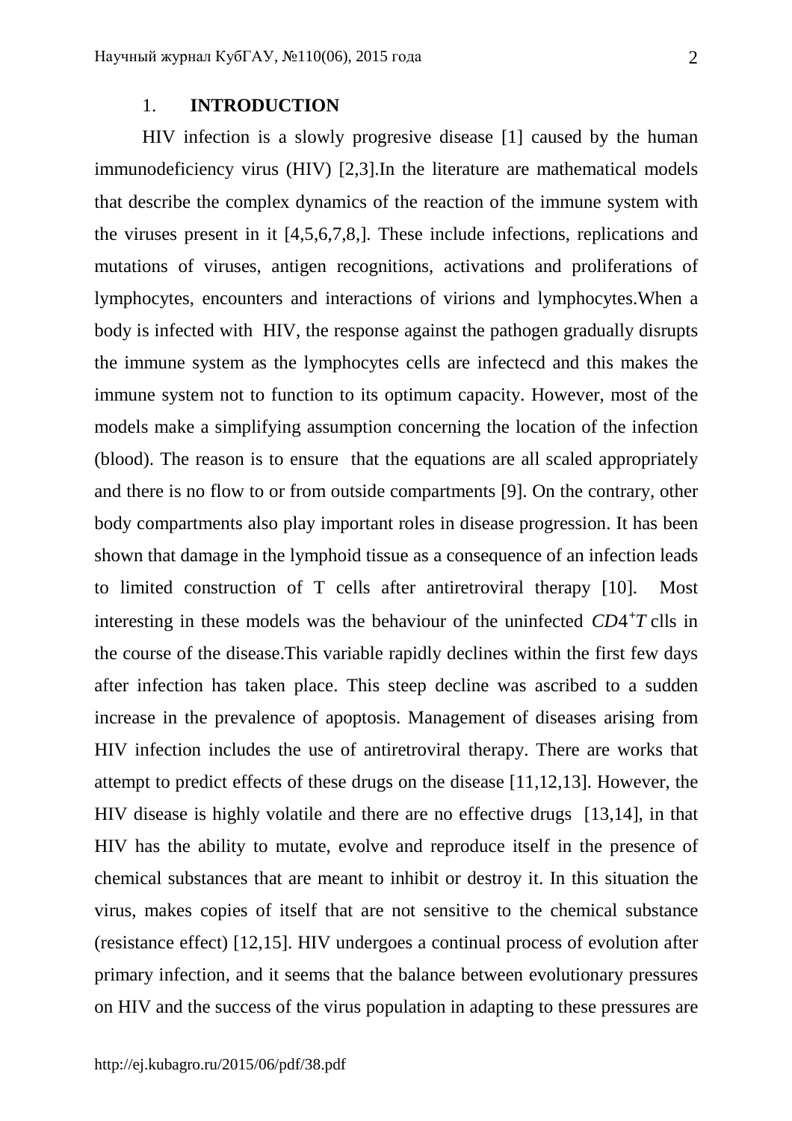## 1. **INTRODUCTION**

HIV infection is a slowly progresive disease [1] caused by the human immunodeficiency virus (HIV) [2,3].In the literature are mathematical models that describe the complex dynamics of the reaction of the immune system with the viruses present in it [4,5,6,7,8,]. These include infections, replications and mutations of viruses, antigen recognitions, activations and proliferations of lymphocytes, encounters and interactions of virions and lymphocytes.When a body is infected with HIV, the response against the pathogen gradually disrupts the immune system as the lymphocytes cells are infectecd and this makes the immune system not to function to its optimum capacity. However, most of the models make a simplifying assumption concerning the location of the infection (blood). The reason is to ensure that the equations are all scaled appropriately and there is no flow to or from outside compartments [9]. On the contrary, other body compartments also play important roles in disease progression. It has been shown that damage in the lymphoid tissue as a consequence of an infection leads to limited construction of T cells after antiretroviral therapy [10]. Most interesting in these models was the behaviour of the uninfected  $CD4+T$  clls in the course of the disease.This variable rapidly declines within the first few days after infection has taken place. This steep decline was ascribed to a sudden increase in the prevalence of apoptosis. Management of diseases arising from HIV infection includes the use of antiretroviral therapy. There are works that attempt to predict effects of these drugs on the disease [11,12,13]. However, the HIV disease is highly volatile and there are no effective drugs [13,14], in that HIV has the ability to mutate, evolve and reproduce itself in the presence of chemical substances that are meant to inhibit or destroy it. In this situation the virus, makes copies of itself that are not sensitive to the chemical substance (resistance effect) [12,15]. HIV undergoes a continual process of evolution after primary infection, and it seems that the balance between evolutionary pressures on HIV and the success of the virus population in adapting to these pressures are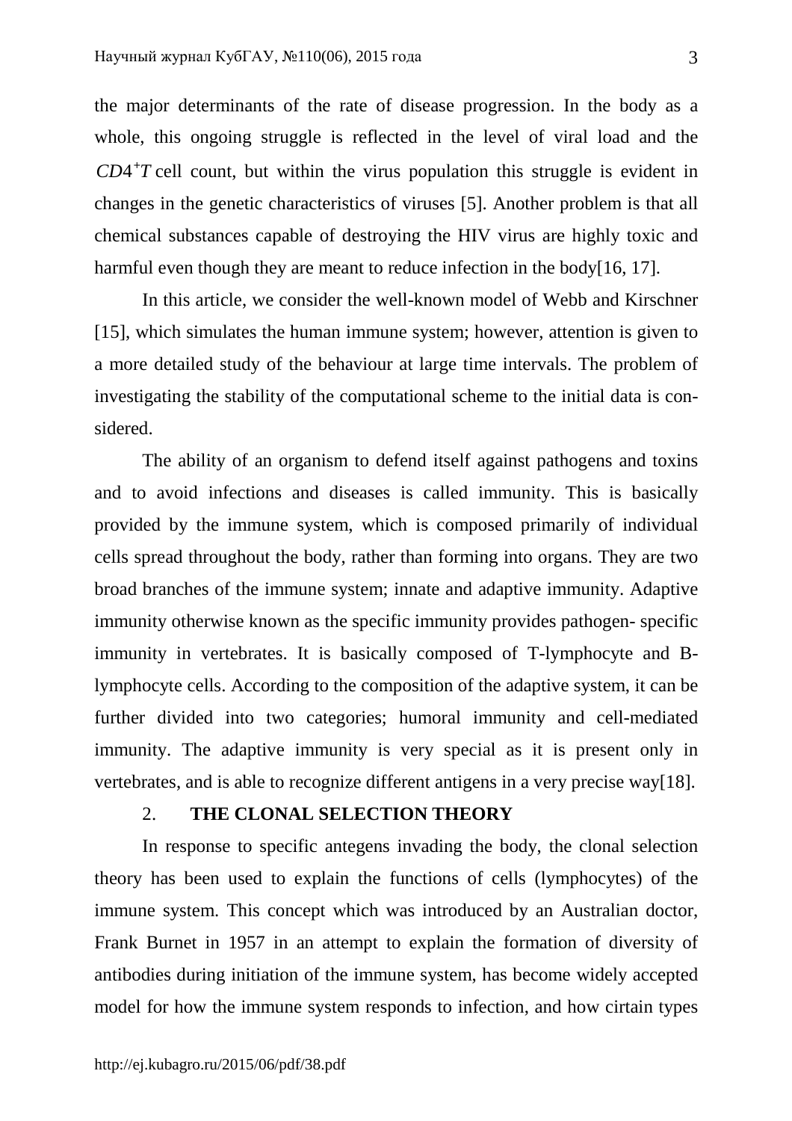the major determinants of the rate of disease progression. In the body as a whole, this ongoing struggle is reflected in the level of viral load and the  $CD4+T$  cell count, but within the virus population this struggle is evident in changes in the genetic characteristics of viruses [5]. Another problem is that all chemical substances capable of destroying the HIV virus are highly toxic and harmful even though they are meant to reduce infection in the body[16, 17].

In this article, we consider the well-known model of Webb and Kirschner [15], which simulates the human immune system; however, attention is given to a more detailed study of the behaviour at large time intervals. The problem of investigating the stability of the computational scheme to the initial data is considered.

The ability of an organism to defend itself against pathogens and toxins and to avoid infections and diseases is called immunity. This is basically provided by the immune system, which is composed primarily of individual cells spread throughout the body, rather than forming into organs. They are two broad branches of the immune system; innate and adaptive immunity. Adaptive immunity otherwise known as the specific immunity provides pathogen- specific immunity in vertebrates. It is basically composed of T-lymphocyte and Blymphocyte cells. According to the composition of the adaptive system, it can be further divided into two categories; humoral immunity and cell-mediated immunity. The adaptive immunity is very special as it is present only in vertebrates, and is able to recognize different antigens in a very precise way[18].

# 2. **THE CLONAL SELECTION THEORY**

In response to specific antegens invading the body, the clonal selection theory has been used to explain the functions of cells (lymphocytes) of the immune system. This concept which was introduced by an Australian doctor, Frank Burnet in 1957 in an attempt to explain the formation of diversity of antibodies during initiation of the immune system, has become widely accepted model for how the immune system responds to infection, and how cirtain types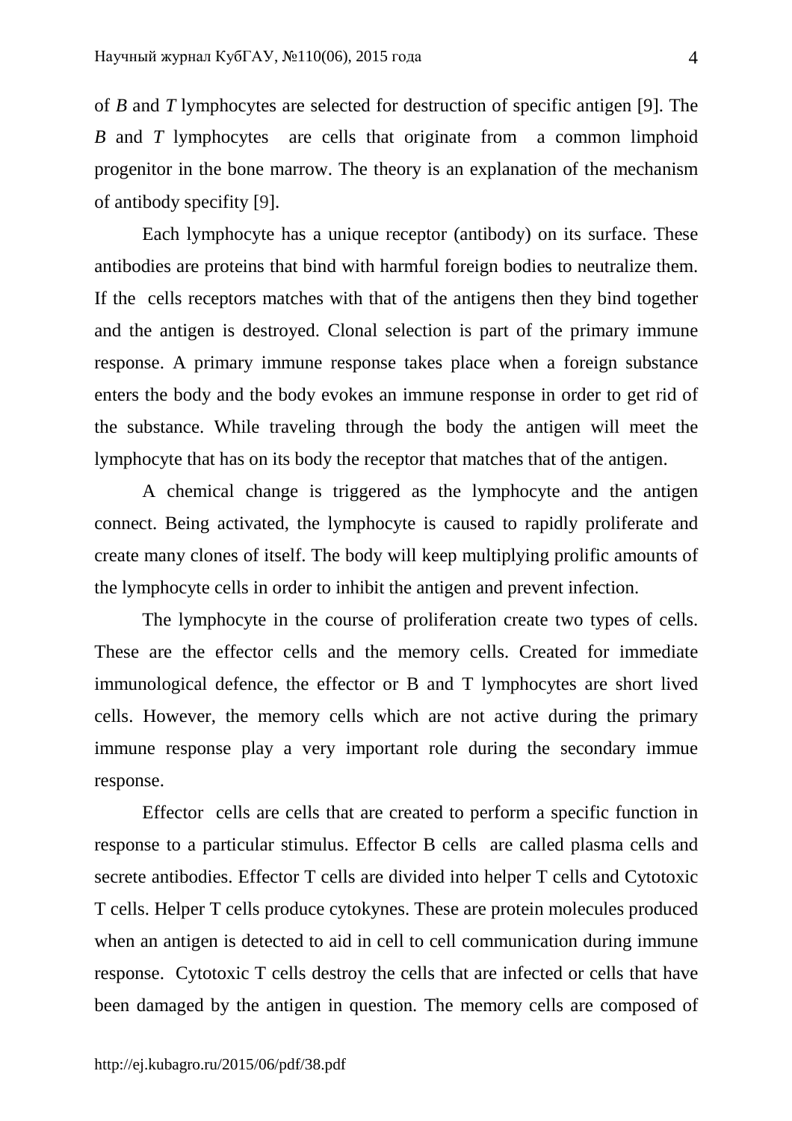of *B* and *T* lymphocytes are selected for destruction of specific antigen [9]. The *B* and *T* lymphocytes are cells that originate from a common limphoid progenitor in the bone marrow. The theory is an explanation of the mechanism of antibody specifity [9].

Each lymphocyte has a unique receptor (antibody) on its surface. These antibodies are proteins that bind with harmful foreign bodies to neutralize them. If the cells receptors matches with that of the antigens then they bind together and the antigen is destroyed. Clonal selection is part of the primary immune response. A primary immune response takes place when a foreign substance enters the body and the body evokes an immune response in order to get rid of the substance. While traveling through the body the antigen will meet the lymphocyte that has on its body the receptor that matches that of the antigen.

A chemical change is triggered as the lymphocyte and the antigen connect. Being activated, the lymphocyte is caused to rapidly proliferate and create many clones of itself. The body will keep multiplying prolific amounts of the lymphocyte cells in order to inhibit the antigen and prevent infection.

The lymphocyte in the course of proliferation create two types of cells. These are the effector cells and the memory cells. Created for immediate immunological defence, the effector or B and T lymphocytes are short lived cells. However, the memory cells which are not active during the primary immune response play a very important role during the secondary immue response.

Effector cells are cells that are created to perform a specific function in response to a particular stimulus. Effector B cells are called plasma cells and secrete antibodies. Effector T cells are divided into helper T cells and Cytotoxic T cells. Helper T cells produce cytokynes. These are protein molecules produced when an antigen is detected to aid in cell to cell communication during immune response. Cytotoxic T cells destroy the cells that are infected or cells that have been damaged by the antigen in question. The memory cells are composed of

4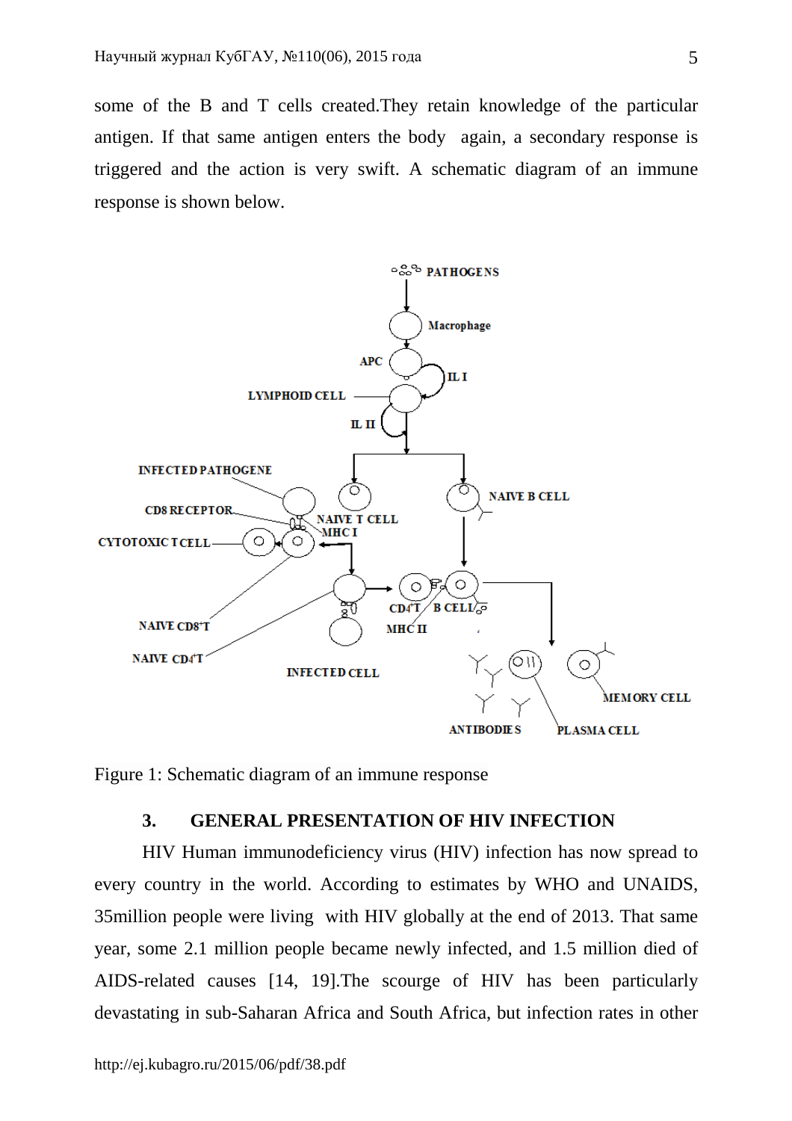some of the B and T cells created.They retain knowledge of the particular antigen. If that same antigen enters the body again, a secondary response is triggered and the action is very swift. A schematic diagram of an immune response is shown below.



Figure 1: Schematic diagram of an immune response

### **3. GENERAL PRESENTATION OF HIV INFECTION**

HIV Human immunodeficiency virus (HIV) infection has now spread to every country in the world. According to estimates by WHO and UNAIDS, 35million people were living with HIV globally at the end of 2013. That same year, some 2.1 million people became newly infected, and 1.5 million died of AIDS-related causes [14, 19].The scourge of HIV has been particularly devastating in sub-Saharan Africa and South Africa, but infection rates in other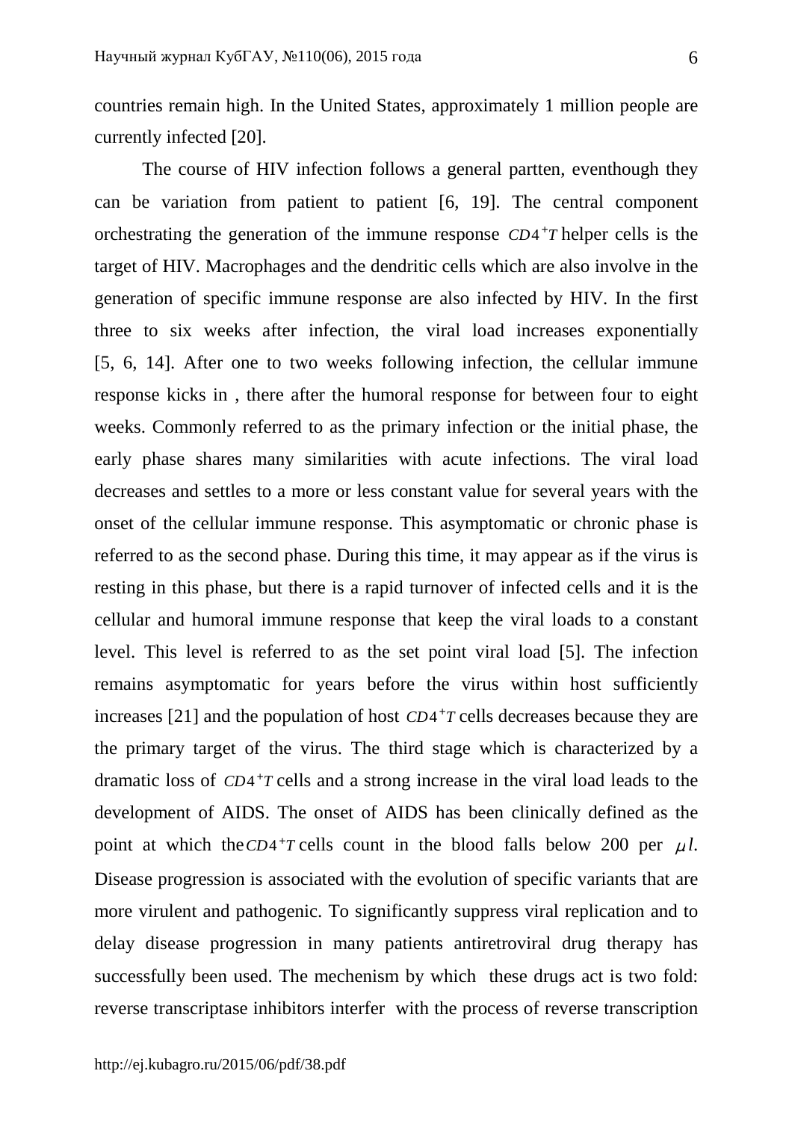countries remain high. In the United States, approximately 1 million people are currently infected [20].

The course of HIV infection follows a general partten, eventhough they can be variation from patient to patient [6, 19]. The central component orchestrating the generation of the immune response  $CD4+T$  helper cells is the target of HIV. Macrophages and the dendritic cells which are also involve in the generation of specific immune response are also infected by HIV. In the first three to six weeks after infection, the viral load increases exponentially [5, 6, 14]. After one to two weeks following infection, the cellular immune response kicks in , there after the humoral response for between four to eight weeks. Commonly referred to as the primary infection or the initial phase, the early phase shares many similarities with acute infections. The viral load decreases and settles to a more or less constant value for several years with the onset of the cellular immune response. This asymptomatic or chronic phase is referred to as the second phase. During this time, it may appear as if the virus is resting in this phase, but there is a rapid turnover of infected cells and it is the cellular and humoral immune response that keep the viral loads to a constant level. This level is referred to as the set point viral load [5]. The infection remains asymptomatic for years before the virus within host sufficiently increases [21] and the population of host  $CD4+T$  cells decreases because they are the primary target of the virus. The third stage which is characterized by a dramatic loss of  $CD4+T$  cells and a strong increase in the viral load leads to the development of AIDS. The onset of AIDS has been clinically defined as the point at which the  $CD4+T$  cells count in the blood falls below 200 per  $\mu$ *l*. Disease progression is associated with the evolution of specific variants that are more virulent and pathogenic. To significantly suppress viral replication and to delay disease progression in many patients antiretroviral drug therapy has successfully been used. The mechenism by which these drugs act is two fold: reverse transcriptase inhibitors interfer with the process of reverse transcription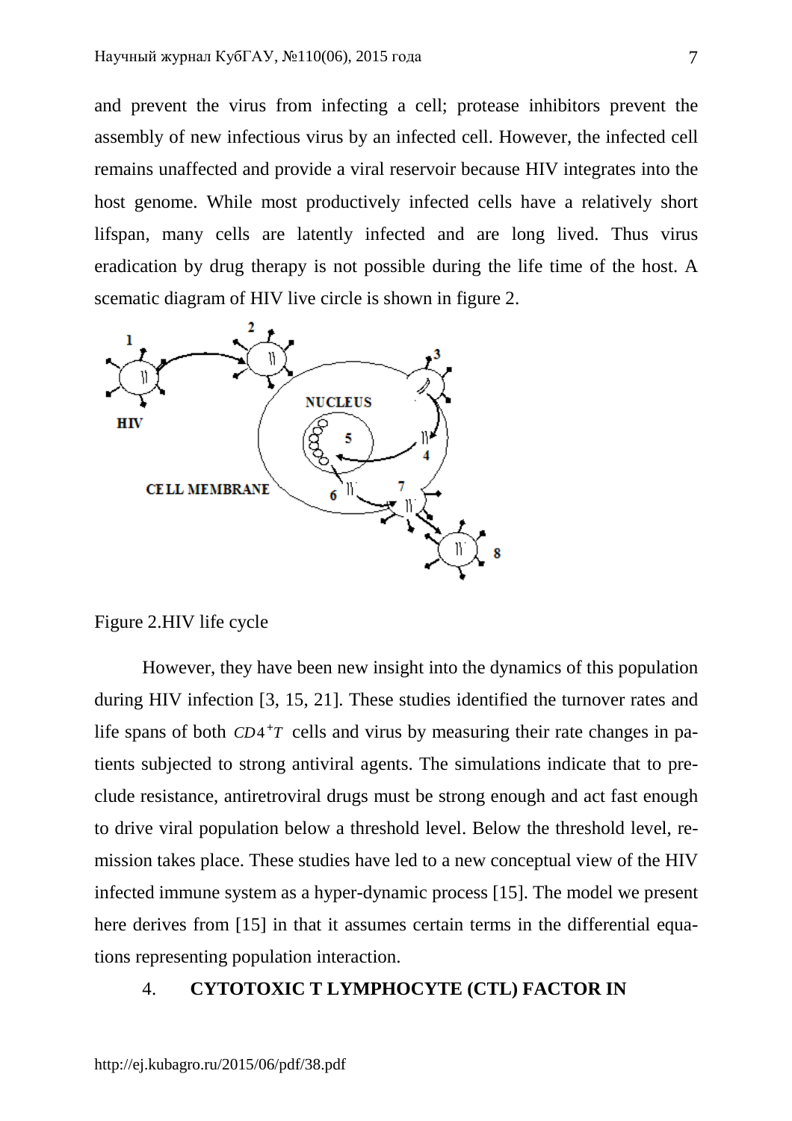and prevent the virus from infecting a cell; protease inhibitors prevent the assembly of new infectious virus by an infected cell. However, the infected cell remains unaffected and provide a viral reservoir because HIV integrates into the host genome. While most productively infected cells have a relatively short lifspan, many cells are latently infected and are long lived. Thus virus eradication by drug therapy is not possible during the life time of the host. A scematic diagram of HIV live circle is shown in figure 2.



Figure 2.HIV life cycle

However, they have been new insight into the dynamics of this population during HIV infection [3, 15, 21]. These studies identified the turnover rates and life spans of both  $CD4+T$  cells and virus by measuring their rate changes in patients subjected to strong antiviral agents. The simulations indicate that to preclude resistance, antiretroviral drugs must be strong enough and act fast enough to drive viral population below a threshold level. Below the threshold level, remission takes place. These studies have led to a new conceptual view of the HIV infected immune system as a hyper-dynamic process [15]. The model we present here derives from [15] in that it assumes certain terms in the differential equations representing population interaction.

### 4. **CYTOTOXIC T LYMPHOCYTE (CTL) FACTOR IN**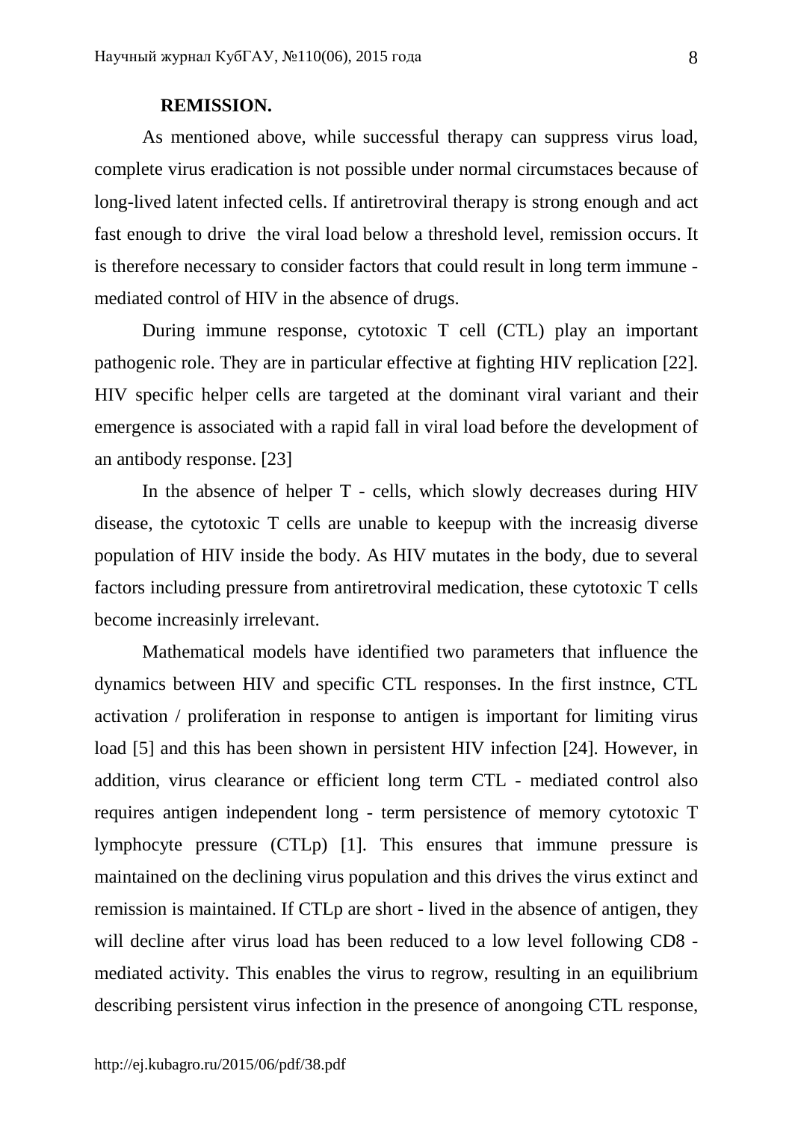### **REMISSION.**

As mentioned above, while successful therapy can suppress virus load, complete virus eradication is not possible under normal circumstaces because of long-lived latent infected cells. If antiretroviral therapy is strong enough and act fast enough to drive the viral load below a threshold level, remission occurs. It is therefore necessary to consider factors that could result in long term immune mediated control of HIV in the absence of drugs.

During immune response, cytotoxic T cell (CTL) play an important pathogenic role. They are in particular effective at fighting HIV replication [22]. HIV specific helper cells are targeted at the dominant viral variant and their emergence is associated with a rapid fall in viral load before the development of an antibody response. [23]

In the absence of helper T - cells, which slowly decreases during HIV disease, the cytotoxic T cells are unable to keepup with the increasig diverse population of HIV inside the body. As HIV mutates in the body, due to several factors including pressure from antiretroviral medication, these cytotoxic T cells become increasinly irrelevant.

Mathematical models have identified two parameters that influence the dynamics between HIV and specific CTL responses. In the first instnce, CTL activation / proliferation in response to antigen is important for limiting virus load [5] and this has been shown in persistent HIV infection [24]. However, in addition, virus clearance or efficient long term CTL - mediated control also requires antigen independent long - term persistence of memory cytotoxic T lymphocyte pressure (CTLp) [1]. This ensures that immune pressure is maintained on the declining virus population and this drives the virus extinct and remission is maintained. If CTLp are short - lived in the absence of antigen, they will decline after virus load has been reduced to a low level following CD8 mediated activity. This enables the virus to regrow, resulting in an equilibrium describing persistent virus infection in the presence of anongoing CTL response,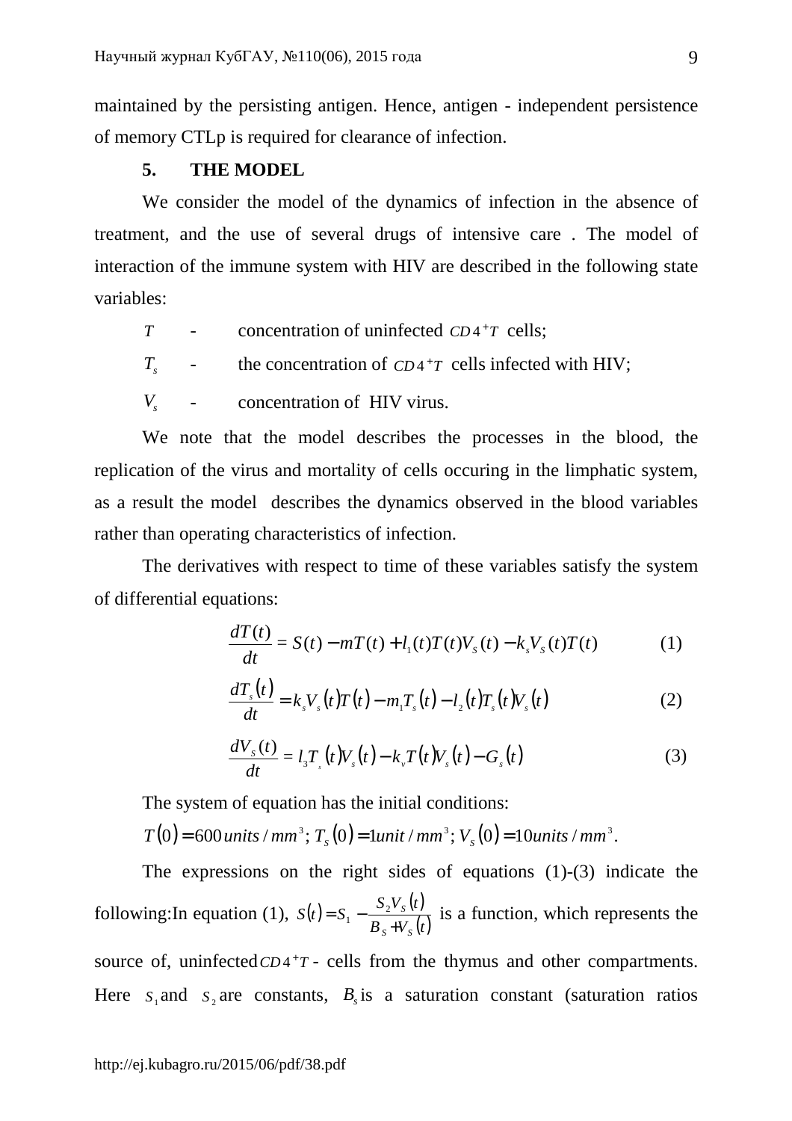maintained by the persisting antigen. Hence, antigen - independent persistence of memory CTLp is required for clearance of infection.

# **5. THE MODEL**

We consider the model of the dynamics of infection in the absence of treatment, and the use of several drugs of intensive care . The model of interaction of the immune system with HIV are described in the following state variables:

- *T* concentration of uninfected *CD*<sup>4+</sup>*T* cells;
- $T_{s}$ - the concentration of  $CD4^+T$  cells infected with HIV;
- *Vs* - concentration of HIV virus.

We note that the model describes the processes in the blood, the replication of the virus and mortality of cells occuring in the limphatic system, as a result the model describes the dynamics observed in the blood variables rather than operating characteristics of infection.

The derivatives with respect to time of these variables satisfy the system of differential equations:

$$
\frac{dT(t)}{dt} = S(t) - mT(t) + l_1(t)T(t)V_s(t) - k_sV_s(t)T(t)
$$
\n(1)

$$
\frac{dT_s(t)}{dt} = k_s V_s(t)T(t) - m_1 T_s(t) - l_2(t)T_s(t)V_s(t)
$$
\n(2)

$$
\frac{dV_s(t)}{dt} = l_s T_s(t) V_s(t) - k_v T(t) V_s(t) - G_s(t)
$$
\n(3)

The system of equation has the initial conditions:

 $T(0) = 600$  *units* / mm<sup>3</sup>;  $T_s(0) = 1$ *unit* / mm<sup>3</sup>;  $V_s(0) = 10$ *units* / mm<sup>3</sup>.

The expressions on the right sides of equations (1)-(3) indicate the following: In equation (1),  $S(t) = S_1 - \frac{S_2 V_s(t)}{R_s V_s(t)}$  $\overline{B_s + V_s(t)}$  $S_2V_s(t)$  $S(t) = S$ *S S S* +  $= S_1 - \frac{b_2}{R}$  $\frac{1}{1} - \frac{B_2 V_s(t)}{B_1 V_s(t)}$  is a function, which represents the source of, uninfected  $CD4+T$  - cells from the thymus and other compartments. Here  $S_1$  and  $S_2$  are constants,  $B_s$  is a saturation constant (saturation ratios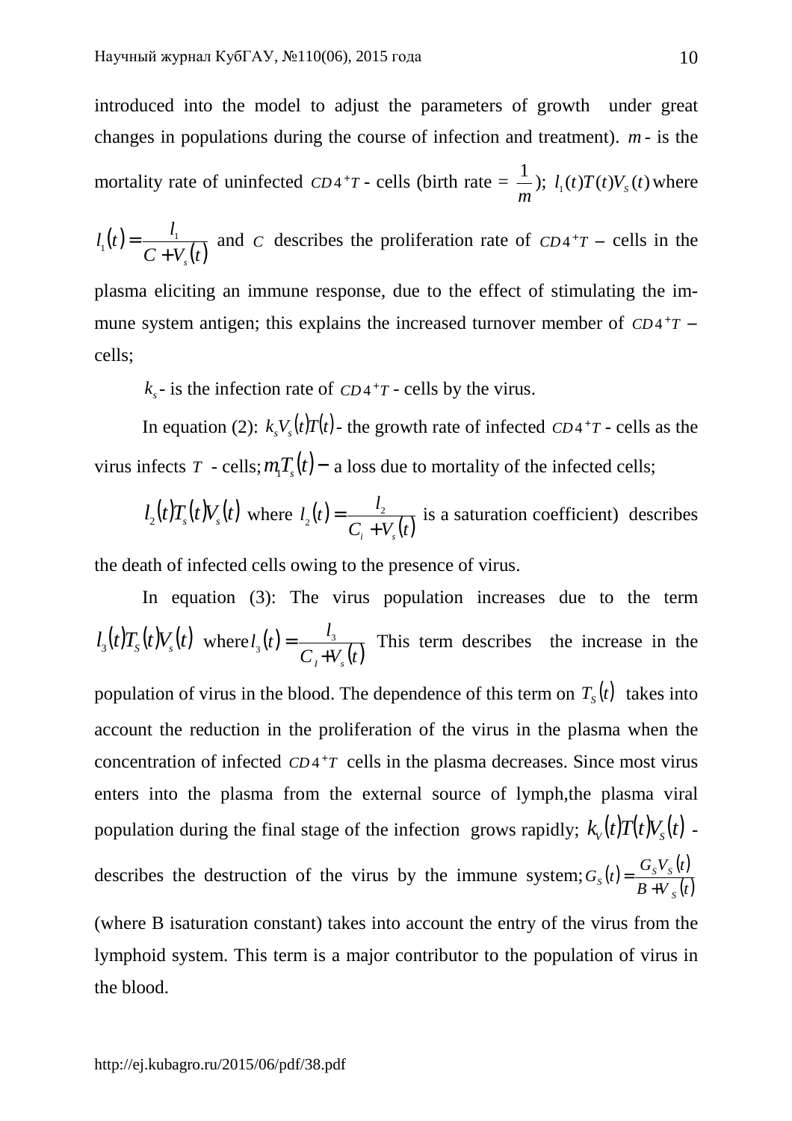introduced into the model to adjust the parameters of growth under great changes in populations during the course of infection and treatment). *m* - is the mortality rate of uninfected  $CD4+T$  - cells (birth rate  $=$ *m* 1  $\int$ ;  $l_1(t)T(t)V_s(t)$  where

$$
l_1(t) = \frac{l_1}{C + V_s(t)}
$$
 and C describes the proliferation rate of  $CD4^+T$  - cells in the

plasma eliciting an immune response, due to the effect of stimulating the immune system antigen; this explains the increased turnover member of  $CD4+T$  – cells;

 $k_s$ - is the infection rate of *CD*<sup>4+</sup>*T* - cells by the virus.

In equation (2):  $k_s V_s(t) T(t)$  - the growth rate of infected  $CD4^+T$  - cells as the virus infects *T* - cells;  $m_1T_s(t)$  – a loss due to mortality of the infected cells;

$$
l_2(t)T_s(t)V_s(t)
$$
 where  $l_2(t) = \frac{l_2}{C_i + V_s(t)}$  is a saturation coefficient) describes

the death of infected cells owing to the presence of virus.

In equation (3): The virus population increases due to the term  $l_3(t)T_s(t)V_s(t)$  where  $l_3(t)$  $\overline{C_i + V_s(t)}$ *l*  $l_3(t)$  $I$ <sup>+ $V_s$ </sup>  $=\frac{v_3}{\sqrt{2}}$  $T_3(t) = \frac{t_3}{C_1 + V_1(t)}$  This term describes the increase in the population of virus in the blood. The dependence of this term on  $T_s(t)$  takes into account the reduction in the proliferation of the virus in the plasma when the concentration of infected  $CD4+T$  cells in the plasma decreases. Since most virus enters into the plasma from the external source of lymph,the plasma viral population during the final stage of the infection grows rapidly;  $k_v(t)T(t)V_s(t)$  describes the destruction of the virus by the immune system;  $G_s(t) = \frac{G_s V_s(t)}{R_s V_s(t)}$  $\overline{B+V_{s}(t)}$  $G_{S}V_{S}$   $(t$  $G_s(t) = \frac{\sigma_s \cdot s}{\sigma_s}$ *S*  $S^{(i)}$ <sup>-</sup>  $B$ <sup>+</sup> = (where B isaturation constant) takes into account the entry of the virus from the lymphoid system. This term is a major contributor to the population of virus in the blood.

http://ej.kubagro.ru/2015/06/pdf/38.pdf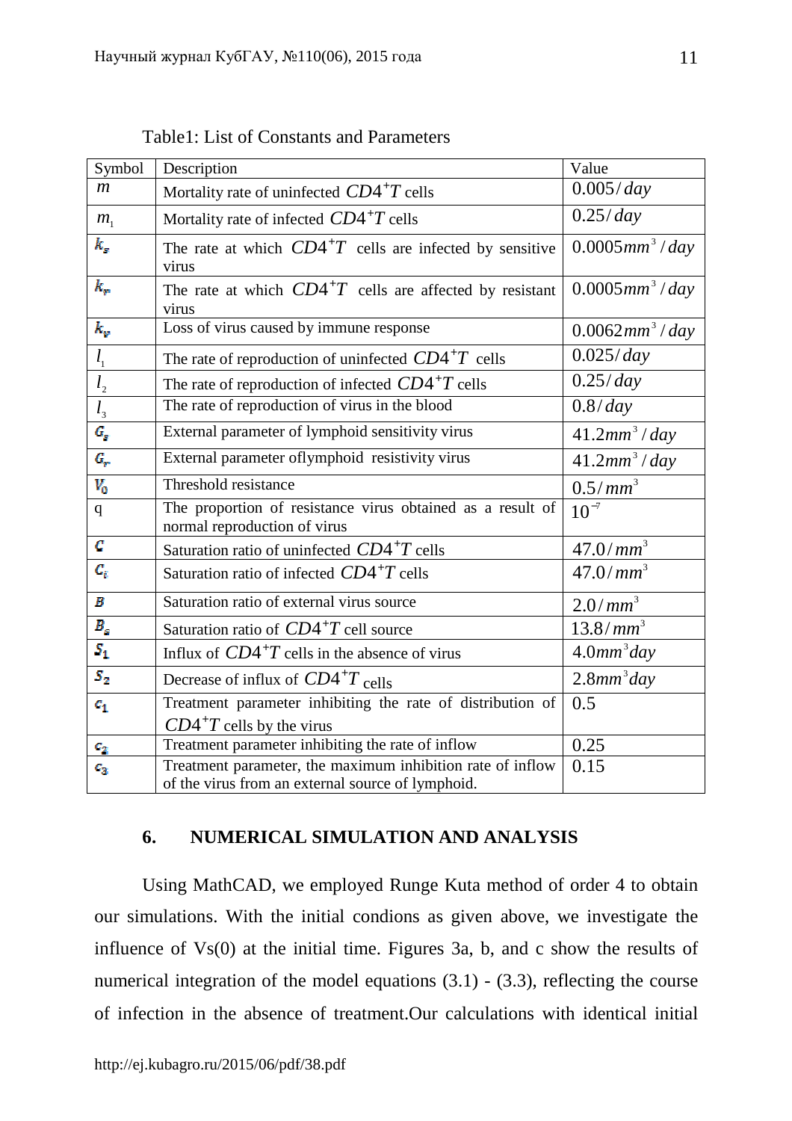| Symbol                        | Description                                                                                                     | Value                          |
|-------------------------------|-----------------------------------------------------------------------------------------------------------------|--------------------------------|
| $\mathfrak{m}$                | Mortality rate of uninfected $CD4^+T$ cells                                                                     | 0.005/day                      |
| $m_{\scriptscriptstyle 1}$    | Mortality rate of infected $CD4^+T$ cells                                                                       | 0.25/day                       |
| k,                            | The rate at which $CD4^{\dagger}T$ cells are infected by sensitive<br>virus                                     | $0.0005$ mm <sup>3</sup> / day |
| k.,                           | The rate at which $CD4^+T$ cells are affected by resistant<br>virus                                             | $0.0005$ mm <sup>3</sup> / day |
| $k_{\varphi}$                 | Loss of virus caused by immune response                                                                         | $0.0062mm^3$ / day             |
| $l_{1}$                       | The rate of reproduction of uninfected $CD4^+T$ cells                                                           | 0.025/day                      |
| l <sub>2</sub>                | The rate of reproduction of infected $CD4^+T$ cells                                                             | 0.25/day                       |
| $l_{\scriptscriptstyle 3}$    | The rate of reproduction of virus in the blood                                                                  | 0.8/day                        |
| $G_p$                         | External parameter of lymphoid sensitivity virus                                                                | 41.2mm <sup>3</sup> /day       |
| $G_{\rm sc}$                  | External parameter oflymphoid resistivity virus                                                                 | $41.2mm^3$ / day               |
| $V_0$                         | Threshold resistance                                                                                            | 0.5/mm <sup>3</sup>            |
| $\mathbf{q}$                  | The proportion of resistance virus obtained as a result of<br>normal reproduction of virus                      | $10^{-7}$                      |
| C                             | Saturation ratio of uninfected $CD4^+T$ cells                                                                   | 47.0/mm <sup>3</sup>           |
| $c_{\rm r}$                   | Saturation ratio of infected $CD4^+T$ cells                                                                     | $47.0/mm^3$                    |
| $\boldsymbol{B}$              | Saturation ratio of external virus source                                                                       | $2.0/mm^3$                     |
| $B_{\scriptscriptstyle{K}}^-$ | Saturation ratio of $CD4^+T$ cell source                                                                        | 13.8/mm <sup>3</sup>           |
| $S_1$                         | Influx of $CD4^+T$ cells in the absence of virus                                                                | $4.0mm^3$ day                  |
| $S_{2}$                       | Decrease of influx of $CD4^{\dagger}T$ cells                                                                    | $2.8mm^3$ day                  |
| $c_{1}$                       | Treatment parameter inhibiting the rate of distribution of                                                      | 0.5                            |
|                               | $CD4^+T$ cells by the virus                                                                                     |                                |
| $c_{\rm z}$                   | Treatment parameter inhibiting the rate of inflow                                                               | 0.25                           |
| $c_{\rm x}$                   | Treatment parameter, the maximum inhibition rate of inflow<br>of the virus from an external source of lymphoid. | 0.15                           |

Table1: List of Constants and Parameters

# **6. NUMERICAL SIMULATION AND ANALYSIS**

Using MathCAD, we employed Runge Kuta method of order 4 to obtain our simulations. With the initial condions as given above, we investigate the influence of Vs(0) at the initial time. Figures 3a, b, and c show the results of numerical integration of the model equations  $(3.1)$  -  $(3.3)$ , reflecting the course of infection in the absence of treatment.Our calculations with identical initial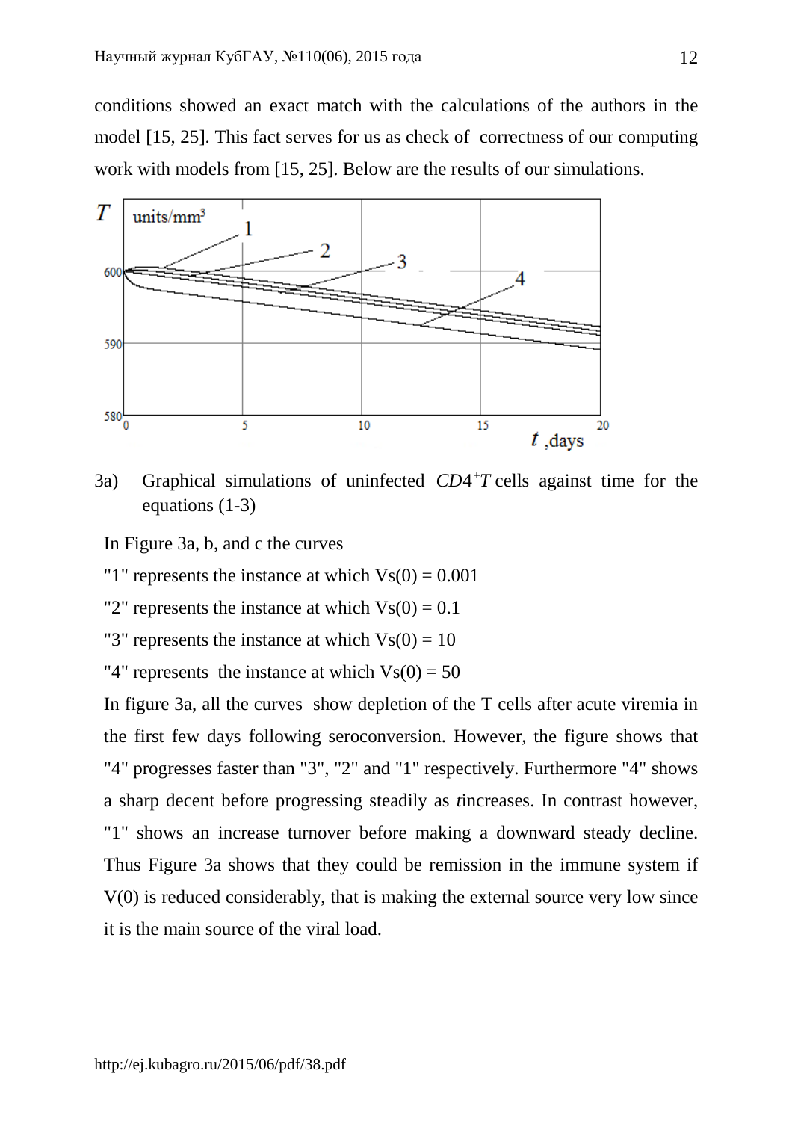conditions showed an exact match with the calculations of the authors in the model [15, 25]. This fact serves for us as check of correctness of our computing work with models from [15, 25]. Below are the results of our simulations.



3a) Graphical simulations of uninfected  $CD4^+T$  cells against time for the equations (1-3)

- In Figure 3a, b, and c the curves
- "1" represents the instance at which  $V<sub>s</sub>(0) = 0.001$
- "2" represents the instance at which  $V<sub>S</sub>(0) = 0.1$
- "3" represents the instance at which  $Vs(0) = 10$
- "4" represents the instance at which  $V<sub>S</sub>(0) = 50$

In figure 3a, all the curves show depletion of the T cells after acute viremia in the first few days following seroconversion. However, the figure shows that "4" progresses faster than "3", "2" and "1" respectively. Furthermore "4" shows a sharp decent before progressing steadily as *t*increases. In contrast however, "1" shows an increase turnover before making a downward steady decline. Thus Figure 3a shows that they could be remission in the immune system if V(0) is reduced considerably, that is making the external source very low since it is the main source of the viral load.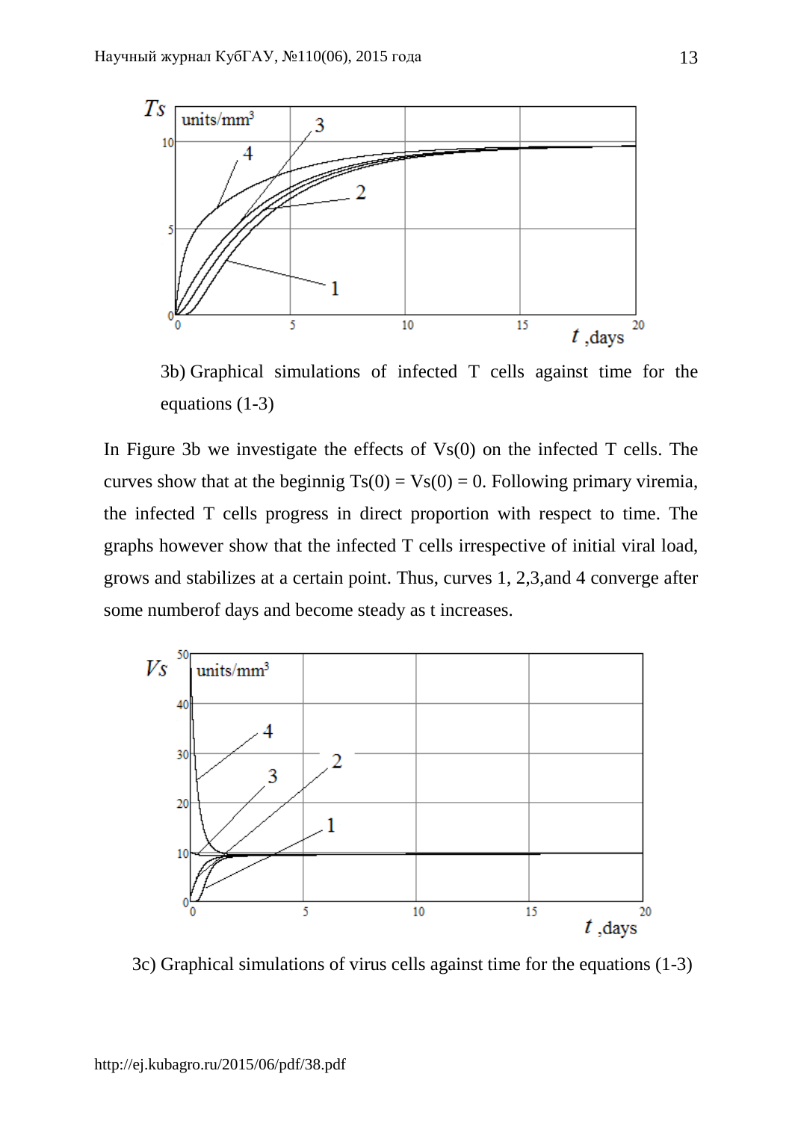

3b) Graphical simulations of infected T cells against time for the equations (1-3)

In Figure 3b we investigate the effects of  $V<sub>s</sub>(0)$  on the infected T cells. The curves show that at the beginnig  $Ts(0) = Vs(0) = 0$ . Following primary viremia, the infected T cells progress in direct proportion with respect to time. The graphs however show that the infected T cells irrespective of initial viral load, grows and stabilizes at a certain point. Thus, curves 1, 2,3,and 4 converge after some numberof days and become steady as t increases.



3c) Graphical simulations of virus cells against time for the equations (1-3)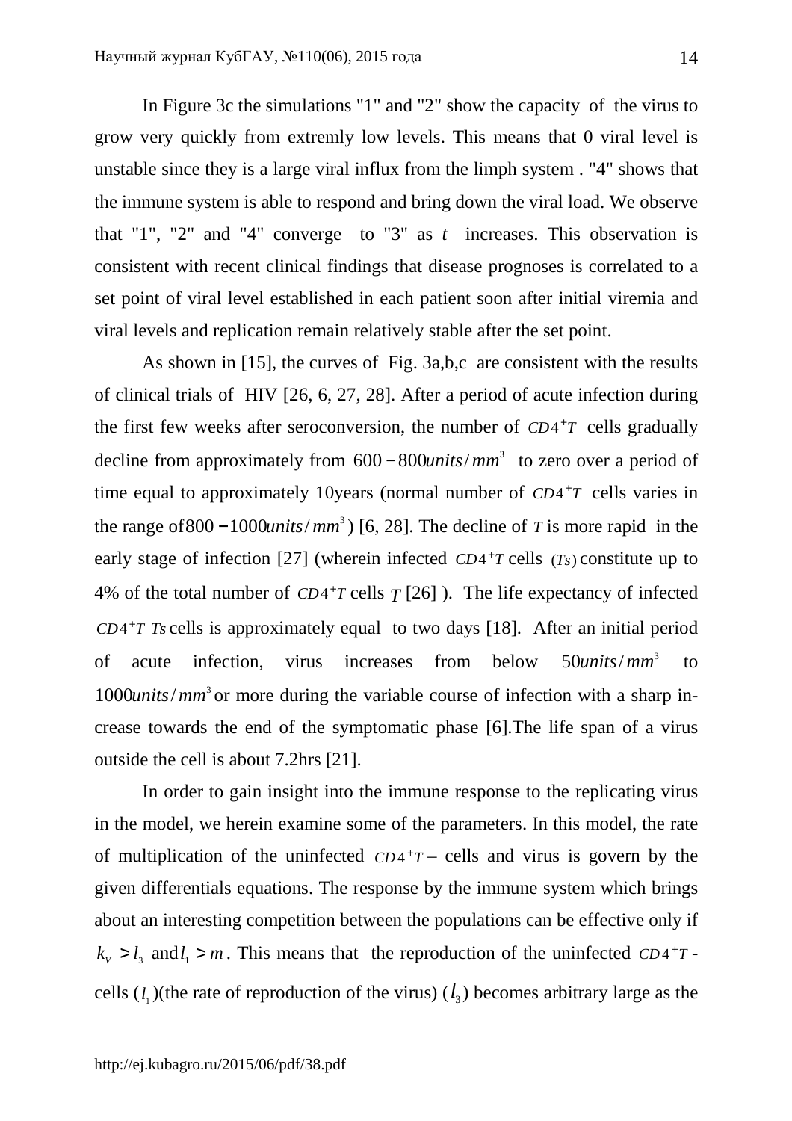In Figure 3c the simulations "1" and "2" show the capacity of the virus to grow very quickly from extremly low levels. This means that 0 viral level is unstable since they is a large viral influx from the limph system . "4" shows that the immune system is able to respond and bring down the viral load. We observe that "1", "2" and "4" converge to "3" as *t* increases. This observation is consistent with recent clinical findings that disease prognoses is correlated to a set point of viral level established in each patient soon after initial viremia and viral levels and replication remain relatively stable after the set point.

As shown in [15], the curves of Fig. 3a,b,c are consistent with the results of clinical trials of HIV [26, 6, 27, 28]. After a period of acute infection during the first few weeks after seroconversion, the number of  $CD4^+T$  cells gradually decline from approximately from 600–800*units/mm*<sup>3</sup> to zero over a period of time equal to approximately 10 years (normal number of  $CD4+T$  cells varies in the range of  $800 - 1000$ *units*/*mm*<sup>3</sup>) [6, 28]. The decline of *T* is more rapid in the early stage of infection [27] (wherein infected  $CD4+T$  cells  $(Ts)$  constitute up to 4% of the total number of  $CD4+T$  cells  $T$  [26] ). The life expectancy of infected  $CD4+TT$  *Ts* cells is approximately equal to two days [18]. After an initial period of acute infection, virus increases from below 50*units/mm*<sup>3</sup> to 1000*units*/*mm*<sup>3</sup> or more during the variable course of infection with a sharp increase towards the end of the symptomatic phase [6].The life span of a virus outside the cell is about 7.2hrs [21].

In order to gain insight into the immune response to the replicating virus in the model, we herein examine some of the parameters. In this model, the rate of multiplication of the uninfected  $CD4+T$  – cells and virus is govern by the given differentials equations. The response by the immune system which brings about an interesting competition between the populations can be effective only if  $k_v > l_3$  and  $l_1 > m$ . This means that the reproduction of the uninfected *CD*<sup>4+</sup>*T* cells  $(l_1)$ (the rate of reproduction of the virus)  $(l_3)$  becomes arbitrary large as the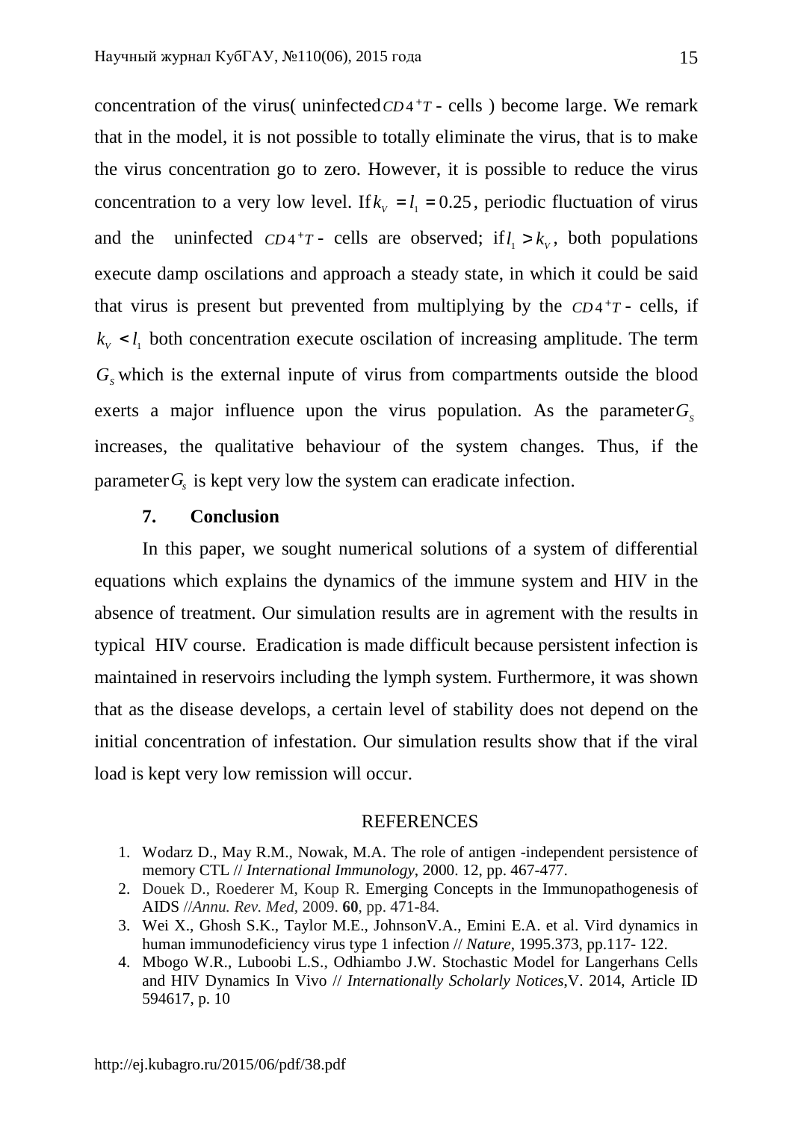concentration of the virus( uninfected  $CD4+T$  - cells ) become large. We remark that in the model, it is not possible to totally eliminate the virus, that is to make the virus concentration go to zero. However, it is possible to reduce the virus concentration to a very low level. If  $k_v = l_1 = 0.25$ , periodic fluctuation of virus and the uninfected  $CD4+T$ - cells are observed; if  $l_1 > k_v$ , both populations execute damp oscilations and approach a steady state, in which it could be said that virus is present but prevented from multiplying by the  $CD4+T$ - cells, if  $k_v$  <  $l_1$  both concentration execute oscilation of increasing amplitude. The term  $G<sub>s</sub>$  which is the external inpute of virus from compartments outside the blood exerts a major influence upon the virus population. As the parameter  $G_s$ increases, the qualitative behaviour of the system changes. Thus, if the parameter $G<sub>s</sub>$  is kept very low the system can eradicate infection.

### **7. Conclusion**

In this paper, we sought numerical solutions of a system of differential equations which explains the dynamics of the immune system and HIV in the absence of treatment. Our simulation results are in agrement with the results in typical HIV course. Eradication is made difficult because persistent infection is maintained in reservoirs including the lymph system. Furthermore, it was shown that as the disease develops, a certain level of stability does not depend on the initial concentration of infestation. Our simulation results show that if the viral load is kept very low remission will occur.

#### **REFERENCES**

- 1. Wodarz D., May R.M., Nowak, M.A. The role of antigen -independent persistence of memory CTL // *International Immunology*, 2000. 12, pp. 467-477.
- 2. Douek D., Roederer M, Koup R. Emerging Concepts in the Immunopathogenesis of AIDS //*Annu. Rev. Med,* 2009. **60**, pp. 471-84.
- 3. Wei X., Ghosh S.K., Taylor M.E., JohnsonV.A., Emini E.A. et al. Vird dynamics in human immunodeficiency virus type 1 infection // *Nature*, 1995.373, pp.117- 122.
- 4. Mbogo W.R., Luboobi L.S., Odhiambo J.W. Stochastic Model for Langerhans Cells and HIV Dynamics In Vivo // *Internationally Scholarly Notices*,V. 2014, Article ID 594617, p. 10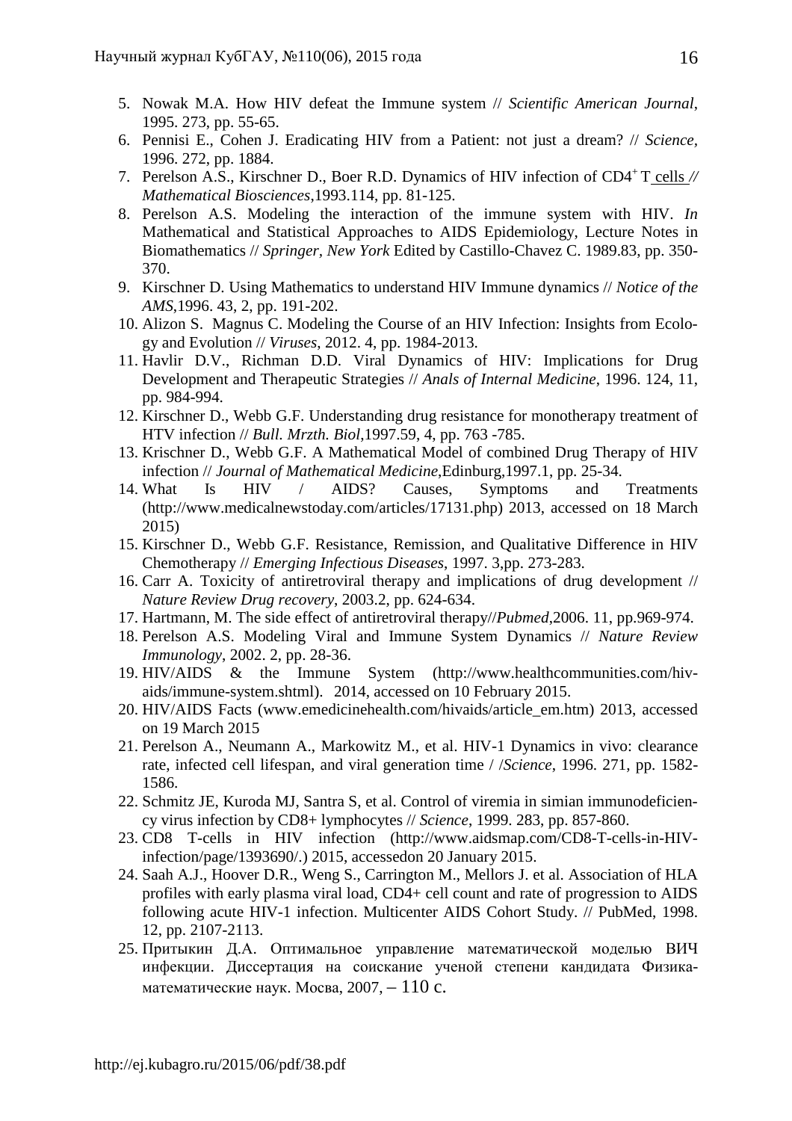- 5. Nowak M.A. How HIV defeat the Immune system // *Scientific American Journal*, 1995. 273, pp. 55-65.
- 6. Pennisi E., Cohen J. Eradicating HIV from a Patient: not just a dream? // *Science,*  1996. 272, pp. 1884.
- 7. Perelson A.S., Kirschner D., Boer R.D. Dynamics of HIV infection of CD4<sup>+</sup>T cells *// Mathematical Biosciences*,1993.114, pp. 81-125.
- 8. Perelson A.S. Modeling the interaction of the immune system with HIV. *In*  Mathematical and Statistical Approaches to AIDS Epidemiology, Lecture Notes in Biomathematics // *Springer, New York* Edited by Castillo-Chavez C. 1989.83, pp. 350- 370.
- 9. Kirschner D. Using Mathematics to understand HIV Immune dynamics // *Notice of the AMS*,1996. 43, 2, pp. 191-202.
- 10. Alizon S. Magnus C. Modeling the Course of an HIV Infection: Insights from Ecology and Evolution // *Viruses*, 2012. 4, pp. 1984-2013.
- 11. Havlir D.V., Richman D.D. Viral Dynamics of HIV: Implications for Drug Development and Therapeutic Strategies // *Anals of Internal Medicine*, 1996. 124, 11, pp. 984-994.
- 12. Kirschner D., Webb G.F. Understanding drug resistance for monotherapy treatment of HTV infection // *Bull. Mrzth. Biol*,1997.59, 4, pp. 763 -785.
- 13. Krischner D., Webb G.F. A Mathematical Model of combined Drug Therapy of HIV infection // *Journal of Mathematical Medicine*,Edinburg,1997.1, pp. 25-34.
- 14. What Is HIV / AIDS? Causes, Symptoms and Treatments (http://www.medicalnewstoday.com/articles/17131.php) 2013, accessed on 18 March 2015)
- 15. Kirschner D., Webb G.F. Resistance, Remission, and Qualitative Difference in HIV Chemotherapy // *Emerging Infectious Diseases*, 1997. 3,pp. 273-283.
- 16. Carr A. Toxicity of antiretroviral therapy and implications of drug development // *Nature Review Drug recovery*, 2003.2, pp. 624-634.
- 17. Hartmann, M. The side effect of antiretroviral therapy//*Pubmed*,2006. 11, pp.969-974.
- 18. Perelson A.S. Modeling Viral and Immune System Dynamics // *Nature Review Immunology*, 2002. 2, pp. 28-36.
- 19. HIV/AIDS & the Immune System (http://www.healthcommunities.com/hivaids/immune-system.shtml). 2014, accessed on 10 February 2015.
- 20. HIV/AIDS Facts (www.emedicinehealth.com/hivaids/article\_em.htm) 2013, accessed on 19 March 2015
- 21. Perelson A., Neumann A., Markowitz M., et al. HIV-1 Dynamics in vivo: clearance rate, infected cell lifespan, and viral generation time / /*Science*, 1996. 271, pp. 1582- 1586.
- 22. Schmitz JE, Kuroda MJ, Santra S, et al. Control of viremia in simian immunodeficiency virus infection by CD8+ lymphocytes // *Science*, 1999. 283, pp. 857-860.
- 23. CD8 T-cells in HIV infection (http://www.aidsmap.com/CD8-T-cells-in-HIVinfection/page/1393690/.) 2015, accessedon 20 January 2015.
- 24. Saah A.J., Hoover D.R., Weng S., Carrington M., Mellors J. et al. Association of HLA profiles with early plasma viral load, CD4+ cell count and rate of progression to AIDS following acute HIV-1 infection. Multicenter AIDS Cohort Study. // PubMed, 1998. 12, pp. 2107-2113.
- 25. Притыкин Д.А. Оптимальное управление математической моделью ВИЧ инфекции. Диссертация на соискание ученой степени кандидата Физикаматематические наук. Мосва, 2007,  $-110$  с.